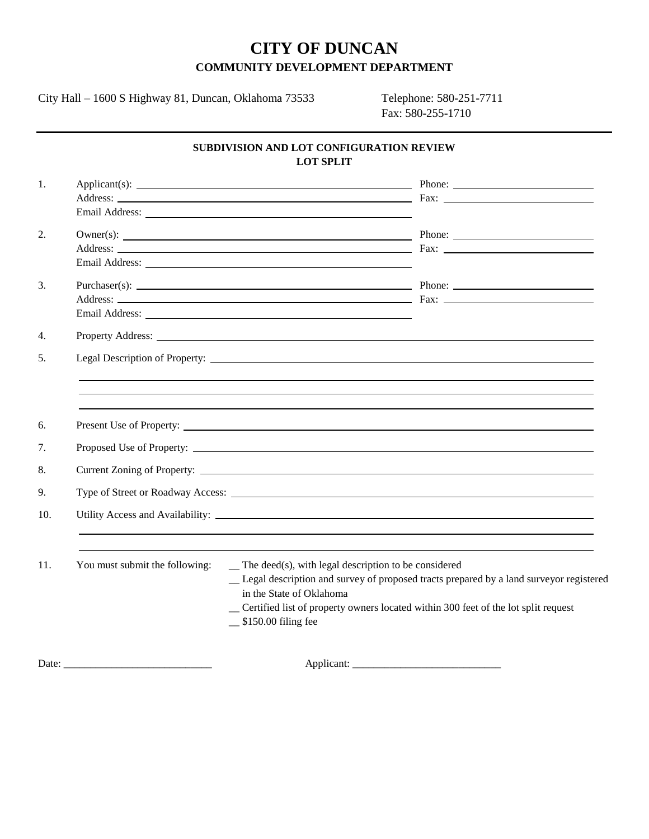# **CITY OF DUNCAN COMMUNITY DEVELOPMENT DEPARTMENT**

City Hall – 1600 S Highway 81, Duncan, Oklahoma 73533 Telephone: 580-251-7711

Fax: 580-255-1710

## **SUBDIVISION AND LOT CONFIGURATION REVIEW LOT SPLIT**

| 1.  |                                |                                                                                                                                                                                                                                                                                                         |
|-----|--------------------------------|---------------------------------------------------------------------------------------------------------------------------------------------------------------------------------------------------------------------------------------------------------------------------------------------------------|
| 2.  |                                |                                                                                                                                                                                                                                                                                                         |
| 3.  |                                |                                                                                                                                                                                                                                                                                                         |
| 4.  |                                |                                                                                                                                                                                                                                                                                                         |
| .5. |                                |                                                                                                                                                                                                                                                                                                         |
| 6.  |                                |                                                                                                                                                                                                                                                                                                         |
| 7.  |                                |                                                                                                                                                                                                                                                                                                         |
| 8.  |                                |                                                                                                                                                                                                                                                                                                         |
| 9.  |                                |                                                                                                                                                                                                                                                                                                         |
| 10. |                                |                                                                                                                                                                                                                                                                                                         |
| 11. | You must submit the following: | $\equiv$ The deed(s), with legal description to be considered<br>_ Legal description and survey of proposed tracts prepared by a land surveyor registered<br>in the State of Oklahoma<br>Certified list of property owners located within 300 feet of the lot split request<br>$\_$ \$150.00 filing fee |
|     |                                |                                                                                                                                                                                                                                                                                                         |